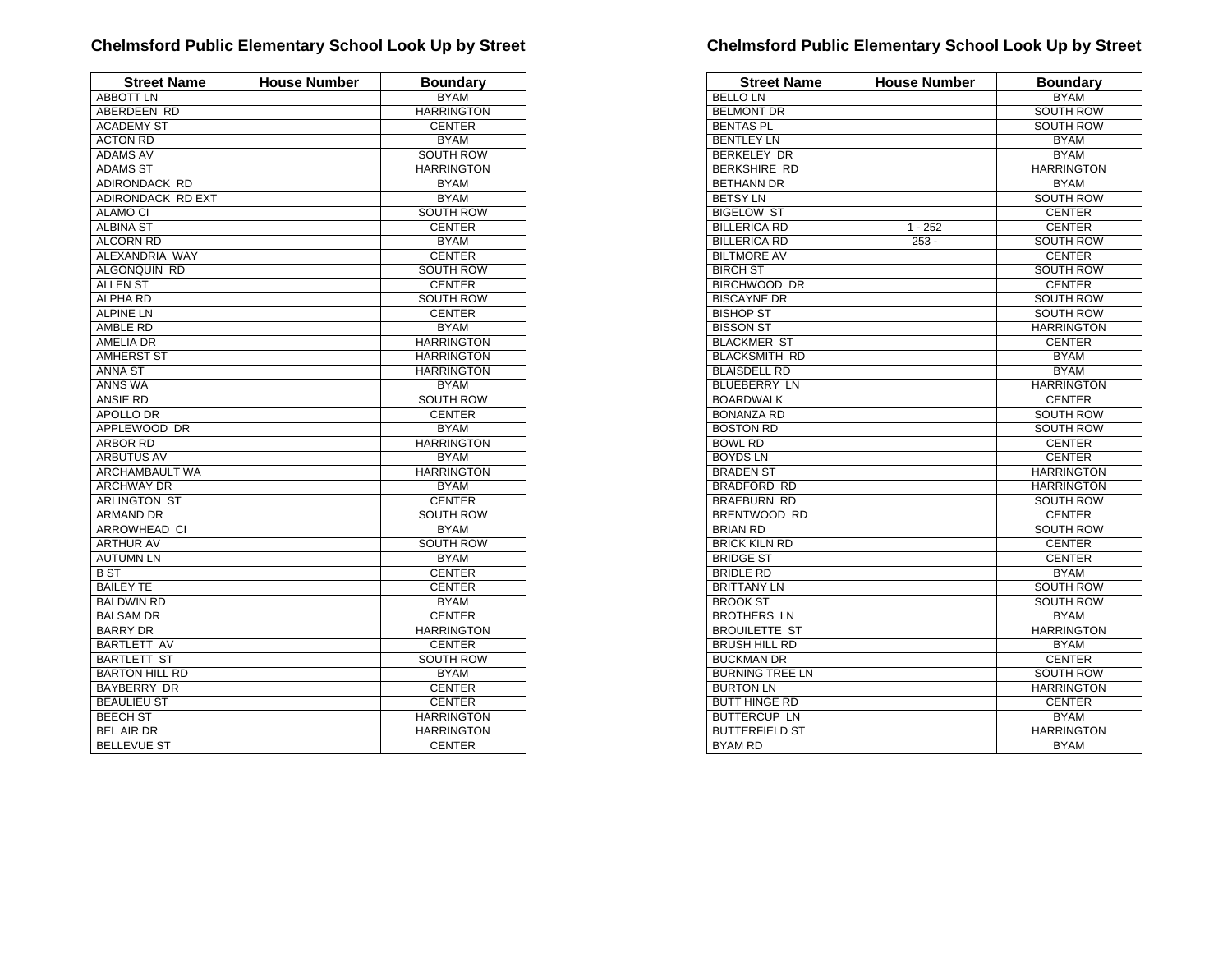| <b>Street Name</b>    | <b>House Number</b> | <b>Boundary</b>   |
|-----------------------|---------------------|-------------------|
| <b>ABBOTT LN</b>      |                     | <b>BYAM</b>       |
| ABERDEEN RD           |                     | <b>HARRINGTON</b> |
| <b>ACADEMY ST</b>     |                     | <b>CENTER</b>     |
| <b>ACTON RD</b>       |                     | <b>BYAM</b>       |
| <b>ADAMS AV</b>       |                     | SOUTH ROW         |
| <b>ADAMS ST</b>       |                     | <b>HARRINGTON</b> |
| ADIRONDACK RD         |                     | <b>BYAM</b>       |
| ADIRONDACK RD EXT     |                     | <b>BYAM</b>       |
| <b>ALAMO CI</b>       |                     | <b>SOUTH ROW</b>  |
| <b>ALBINA ST</b>      |                     | <b>CENTER</b>     |
| <b>ALCORN RD</b>      |                     | <b>BYAM</b>       |
| ALEXANDRIA WAY        |                     | <b>CENTER</b>     |
| ALGONQUIN RD          |                     | SOUTH ROW         |
| <b>ALLEN ST</b>       |                     | <b>CENTER</b>     |
| <b>ALPHA RD</b>       |                     | <b>SOUTH ROW</b>  |
| <b>ALPINE LN</b>      |                     | <b>CENTER</b>     |
| AMBLE RD              |                     | <b>BYAM</b>       |
| <b>AMELIA DR</b>      |                     | <b>HARRINGTON</b> |
| <b>AMHERST ST</b>     |                     | <b>HARRINGTON</b> |
| ANNA ST               |                     | <b>HARRINGTON</b> |
| <b>ANNS WA</b>        |                     | <b>BYAM</b>       |
| <b>ANSIE RD</b>       |                     | <b>SOUTH ROW</b>  |
| APOLLO DR             |                     | <b>CENTER</b>     |
| APPLEWOOD DR          |                     | <b>BYAM</b>       |
| <b>ARBOR RD</b>       |                     | <b>HARRINGTON</b> |
| ARBUTUS AV            |                     | <b>BYAM</b>       |
| ARCHAMBAULT WA        |                     | <b>HARRINGTON</b> |
| <b>ARCHWAY DR</b>     |                     | <b>BYAM</b>       |
| <b>ARLINGTON ST</b>   |                     | <b>CENTER</b>     |
| <b>ARMAND DR</b>      |                     | <b>SOUTH ROW</b>  |
| ARROWHEAD CI          |                     | <b>BYAM</b>       |
| <b>ARTHUR AV</b>      |                     | <b>SOUTH ROW</b>  |
| <b>AUTUMN LN</b>      |                     | <b>BYAM</b>       |
| <b>BST</b>            |                     | <b>CENTER</b>     |
| <b>BAILEY TE</b>      |                     | <b>CENTER</b>     |
| <b>BALDWIN RD</b>     |                     | <b>BYAM</b>       |
| <b>BALSAM DR</b>      |                     | <b>CENTER</b>     |
| <b>BARRY DR</b>       |                     | <b>HARRINGTON</b> |
| <b>BARTLETT AV</b>    |                     | <b>CENTER</b>     |
| <b>BARTLETT ST</b>    |                     | <b>SOUTH ROW</b>  |
| <b>BARTON HILL RD</b> |                     | <b>BYAM</b>       |
| <b>BAYBERRY DR</b>    |                     | <b>CENTER</b>     |
| <b>BEAULIEU ST</b>    |                     | <b>CENTER</b>     |
| <b>BEECH ST</b>       |                     | <b>HARRINGTON</b> |
| <b>BEL AIR DR</b>     |                     | <b>HARRINGTON</b> |
| <b>BELLEVUE ST</b>    |                     | <b>CENTER</b>     |

| <b>Street Name</b>     | <b>House Number</b> | <b>Boundary</b>   |
|------------------------|---------------------|-------------------|
| <b>BELLO LN</b>        |                     | <b>BYAM</b>       |
| <b>BELMONT DR</b>      |                     | <b>SOUTH ROW</b>  |
| <b>BENTAS PL</b>       |                     | <b>SOUTH ROW</b>  |
| <b>BENTLEY LN</b>      |                     | <b>BYAM</b>       |
| <b>BERKELEY DR</b>     |                     | <b>BYAM</b>       |
| <b>BERKSHIRE RD</b>    |                     | <b>HARRINGTON</b> |
| <b>BETHANN DR</b>      |                     | <b>BYAM</b>       |
| <b>BETSY LN</b>        |                     | <b>SOUTH ROW</b>  |
| <b>BIGELOW ST</b>      |                     | <b>CENTER</b>     |
| <b>BILLERICA RD</b>    | $1 - 252$           | <b>CENTER</b>     |
| <b>BILLERICA RD</b>    | $253 -$             | <b>SOUTH ROW</b>  |
| <b>BILTMORE AV</b>     |                     | <b>CENTER</b>     |
| <b>BIRCH ST</b>        |                     | <b>SOUTH ROW</b>  |
| <b>BIRCHWOOD DR</b>    |                     | <b>CENTER</b>     |
| <b>BISCAYNE DR</b>     |                     | <b>SOUTH ROW</b>  |
| <b>BISHOP ST</b>       |                     | <b>SOUTH ROW</b>  |
| <b>BISSON ST</b>       |                     | <b>HARRINGTON</b> |
| <b>BLACKMER ST</b>     |                     | <b>CENTER</b>     |
| <b>BLACKSMITH RD</b>   |                     | <b>BYAM</b>       |
| <b>BLAISDELL RD</b>    |                     | <b>BYAM</b>       |
| <b>BLUEBERRY LN</b>    |                     | <b>HARRINGTON</b> |
| <b>BOARDWALK</b>       |                     | <b>CENTER</b>     |
| <b>BONANZA RD</b>      |                     | SOUTH ROW         |
| <b>BOSTON RD</b>       |                     | <b>SOUTH ROW</b>  |
| <b>BOWL RD</b>         |                     | <b>CENTER</b>     |
| <b>BOYDS LN</b>        |                     | <b>CENTER</b>     |
| <b>BRADEN ST</b>       |                     | <b>HARRINGTON</b> |
| <b>BRADFORD RD</b>     |                     | <b>HARRINGTON</b> |
| <b>BRAEBURN RD</b>     |                     | <b>SOUTH ROW</b>  |
| <b>BRENTWOOD RD</b>    |                     | <b>CENTER</b>     |
| <b>BRIAN RD</b>        |                     | SOUTH ROW         |
| <b>BRICK KILN RD</b>   |                     | <b>CENTER</b>     |
| <b>BRIDGE ST</b>       |                     | <b>CENTER</b>     |
| <b>BRIDLE RD</b>       |                     | <b>BYAM</b>       |
| <b>BRITTANY LN</b>     |                     | <b>SOUTH ROW</b>  |
| <b>BROOK ST</b>        |                     | <b>SOUTH ROW</b>  |
| <b>BROTHERS LN</b>     |                     | <b>BYAM</b>       |
| <b>BROUILETTE ST</b>   |                     | <b>HARRINGTON</b> |
| <b>BRUSH HILL RD</b>   |                     | <b>BYAM</b>       |
| <b>BUCKMAN DR</b>      |                     | <b>CENTER</b>     |
| <b>BURNING TREE LN</b> |                     | <b>SOUTH ROW</b>  |
| <b>BURTON LN</b>       |                     | <b>HARRINGTON</b> |
| <b>BUTT HINGE RD</b>   |                     | <b>CENTER</b>     |
| <b>BUTTERCUP LN</b>    |                     | <b>BYAM</b>       |
| <b>BUTTERFIELD ST</b>  |                     | <b>HARRINGTON</b> |
| <b>BYAM RD</b>         |                     | <b>BYAM</b>       |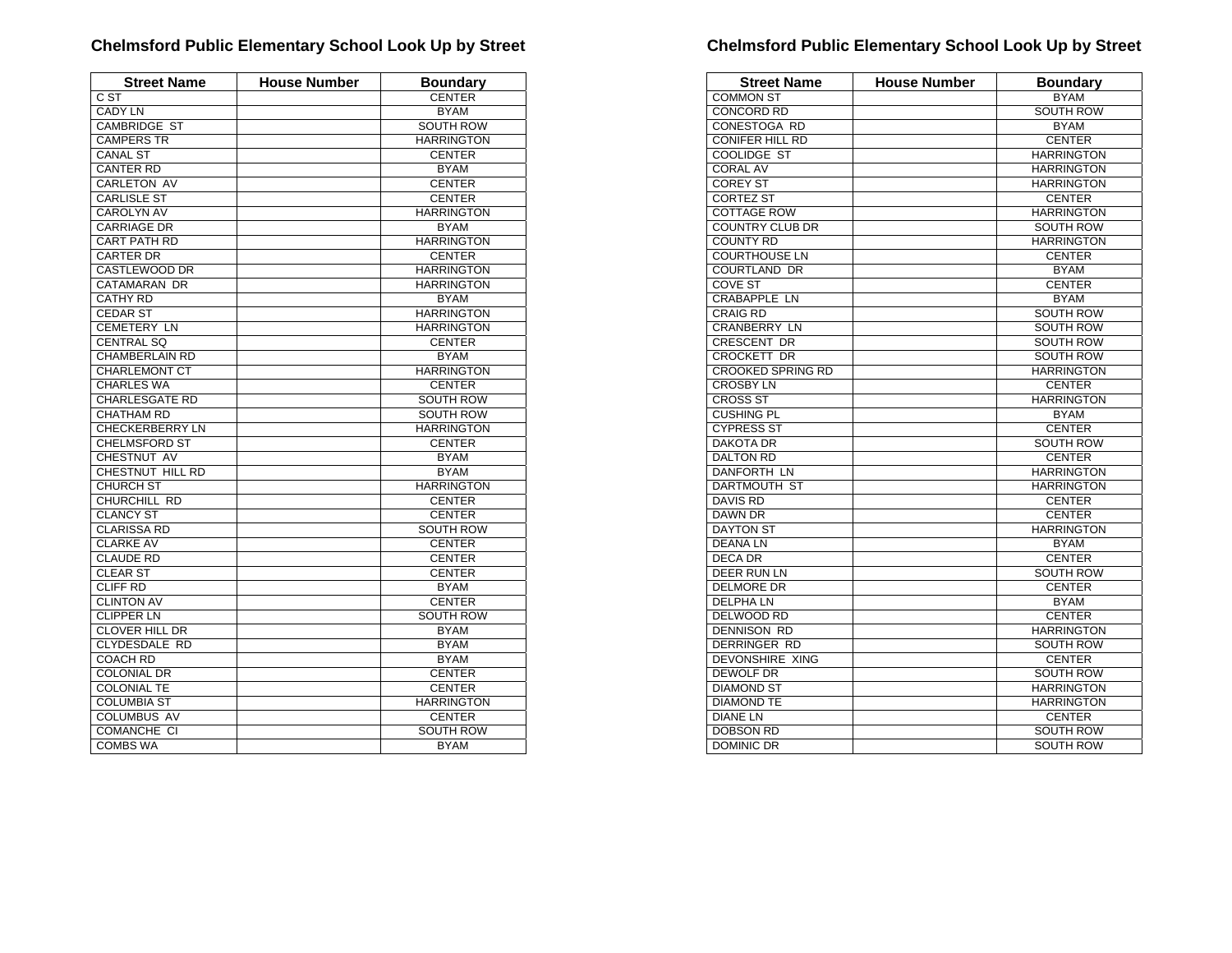| <b>Street Name</b>     | <b>House Number</b> | <b>Boundary</b>   |
|------------------------|---------------------|-------------------|
| C ST                   |                     | <b>CENTER</b>     |
| <b>CADY LN</b>         |                     | <b>BYAM</b>       |
| <b>CAMBRIDGE ST</b>    |                     | <b>SOUTH ROW</b>  |
| <b>CAMPERS TR</b>      |                     | <b>HARRINGTON</b> |
| <b>CANAL ST</b>        |                     | <b>CENTER</b>     |
| <b>CANTER RD</b>       |                     | <b>BYAM</b>       |
| <b>CARLETON AV</b>     |                     | <b>CENTER</b>     |
| <b>CARLISLE ST</b>     |                     | <b>CENTER</b>     |
| <b>CAROLYN AV</b>      |                     | <b>HARRINGTON</b> |
| <b>CARRIAGE DR</b>     |                     | <b>BYAM</b>       |
| CART PATH RD           |                     | <b>HARRINGTON</b> |
| <b>CARTER DR</b>       |                     | <b>CENTER</b>     |
| CASTLEWOOD DR          |                     | <b>HARRINGTON</b> |
| CATAMARAN DR           |                     | <b>HARRINGTON</b> |
| <b>CATHY RD</b>        |                     | <b>BYAM</b>       |
| <b>CEDAR ST</b>        |                     | <b>HARRINGTON</b> |
| <b>CEMETERY LN</b>     |                     | <b>HARRINGTON</b> |
| <b>CENTRAL SQ</b>      |                     | <b>CENTER</b>     |
| <b>CHAMBERLAIN RD</b>  |                     | <b>BYAM</b>       |
| <b>CHARLEMONT CT</b>   |                     | <b>HARRINGTON</b> |
| <b>CHARLES WA</b>      |                     | <b>CENTER</b>     |
| <b>CHARLESGATE RD</b>  |                     | <b>SOUTH ROW</b>  |
| <b>CHATHAM RD</b>      |                     | <b>SOUTH ROW</b>  |
| <b>CHECKERBERRY LN</b> |                     | <b>HARRINGTON</b> |
| <b>CHELMSFORD ST</b>   |                     | <b>CENTER</b>     |
| CHESTNUT AV            |                     | <b>BYAM</b>       |
| CHESTNUT HILL RD       |                     | <b>BYAM</b>       |
| <b>CHURCH ST</b>       |                     | <b>HARRINGTON</b> |
| CHURCHILL RD           |                     | <b>CENTER</b>     |
| <b>CLANCY ST</b>       |                     | <b>CENTER</b>     |
| <b>CLARISSA RD</b>     |                     | <b>SOUTH ROW</b>  |
| <b>CLARKE AV</b>       |                     | <b>CENTER</b>     |
| <b>CLAUDE RD</b>       |                     | <b>CENTER</b>     |
| <b>CLEAR ST</b>        |                     | <b>CENTER</b>     |
| <b>CLIFF RD</b>        |                     | <b>BYAM</b>       |
| <b>CLINTON AV</b>      |                     | <b>CENTER</b>     |
| <b>CLIPPER LN</b>      |                     | <b>SOUTH ROW</b>  |
| <b>CLOVER HILL DR</b>  |                     | <b>BYAM</b>       |
| CLYDESDALE RD          |                     | <b>BYAM</b>       |
| <b>COACH RD</b>        |                     | <b>BYAM</b>       |
| <b>COLONIAL DR</b>     |                     | <b>CENTER</b>     |
| <b>COLONIAL TE</b>     |                     | <b>CENTER</b>     |
| <b>COLUMBIA ST</b>     |                     | <b>HARRINGTON</b> |
| <b>COLUMBUS AV</b>     |                     | <b>CENTER</b>     |
| COMANCHE CI            |                     | <b>SOUTH ROW</b>  |
| <b>COMBS WA</b>        |                     | <b>BYAM</b>       |

| <b>Street Name</b>       | <b>House Number</b> | <b>Boundary</b>   |
|--------------------------|---------------------|-------------------|
| <b>COMMON ST</b>         |                     | <b>BYAM</b>       |
| <b>CONCORD RD</b>        |                     | <b>SOUTH ROW</b>  |
| <b>CONESTOGA RD</b>      |                     | <b>BYAM</b>       |
| <b>CONIFER HILL RD</b>   |                     | <b>CENTER</b>     |
| <b>COOLIDGE ST</b>       |                     | <b>HARRINGTON</b> |
| <b>CORAL AV</b>          |                     | <b>HARRINGTON</b> |
| <b>COREY ST</b>          |                     | <b>HARRINGTON</b> |
| <b>CORTEZ ST</b>         |                     | <b>CENTER</b>     |
| <b>COTTAGE ROW</b>       |                     | <b>HARRINGTON</b> |
| <b>COUNTRY CLUB DR</b>   |                     | SOUTH ROW         |
| <b>COUNTY RD</b>         |                     | <b>HARRINGTON</b> |
| <b>COURTHOUSE LN</b>     |                     | <b>CENTER</b>     |
| COURTLAND DR             |                     | <b>BYAM</b>       |
| <b>COVE ST</b>           |                     | <b>CENTER</b>     |
| <b>CRABAPPLE LN</b>      |                     | <b>BYAM</b>       |
| <b>CRAIG RD</b>          |                     | <b>SOUTH ROW</b>  |
| <b>CRANBERRY LN</b>      |                     | <b>SOUTH ROW</b>  |
| CRESCENT DR              |                     | SOUTH ROW         |
| CROCKETT DR              |                     | <b>SOUTH ROW</b>  |
| <b>CROOKED SPRING RD</b> |                     | <b>HARRINGTON</b> |
| <b>CROSBY LN</b>         |                     | <b>CENTER</b>     |
| <b>CROSS ST</b>          |                     | <b>HARRINGTON</b> |
| <b>CUSHING PL</b>        |                     | <b>BYAM</b>       |
| <b>CYPRESS ST</b>        |                     | <b>CENTER</b>     |
| <b>DAKOTA DR</b>         |                     | <b>SOUTH ROW</b>  |
| <b>DALTON RD</b>         |                     | <b>CENTER</b>     |
| DANFORTH LN              |                     | <b>HARRINGTON</b> |
| <b>DARTMOUTH ST</b>      |                     | <b>HARRINGTON</b> |
| <b>DAVIS RD</b>          |                     | <b>CENTER</b>     |
| <b>DAWN DR</b>           |                     | <b>CENTER</b>     |
| <b>DAYTON ST</b>         |                     | <b>HARRINGTON</b> |
| <b>DEANALN</b>           |                     | <b>BYAM</b>       |
| <b>DECA DR</b>           |                     | <b>CENTER</b>     |
| <b>DEER RUN LN</b>       |                     | <b>SOUTH ROW</b>  |
| <b>DELMORE DR</b>        |                     | <b>CENTER</b>     |
| <b>DELPHALN</b>          |                     | <b>BYAM</b>       |
| <b>DELWOOD RD</b>        |                     | <b>CENTER</b>     |
| DENNISON RD              |                     | <b>HARRINGTON</b> |
| <b>DERRINGER RD</b>      |                     | <b>SOUTH ROW</b>  |
| <b>DEVONSHIRE XING</b>   |                     | <b>CENTER</b>     |
| <b>DEWOLF DR</b>         |                     | <b>SOUTH ROW</b>  |
| <b>DIAMOND ST</b>        |                     | <b>HARRINGTON</b> |
| <b>DIAMOND TE</b>        |                     | <b>HARRINGTON</b> |
| <b>DIANE LN</b>          |                     | <b>CENTER</b>     |
| <b>DOBSON RD</b>         |                     | <b>SOUTH ROW</b>  |
| <b>DOMINIC DR</b>        |                     | <b>SOUTH ROW</b>  |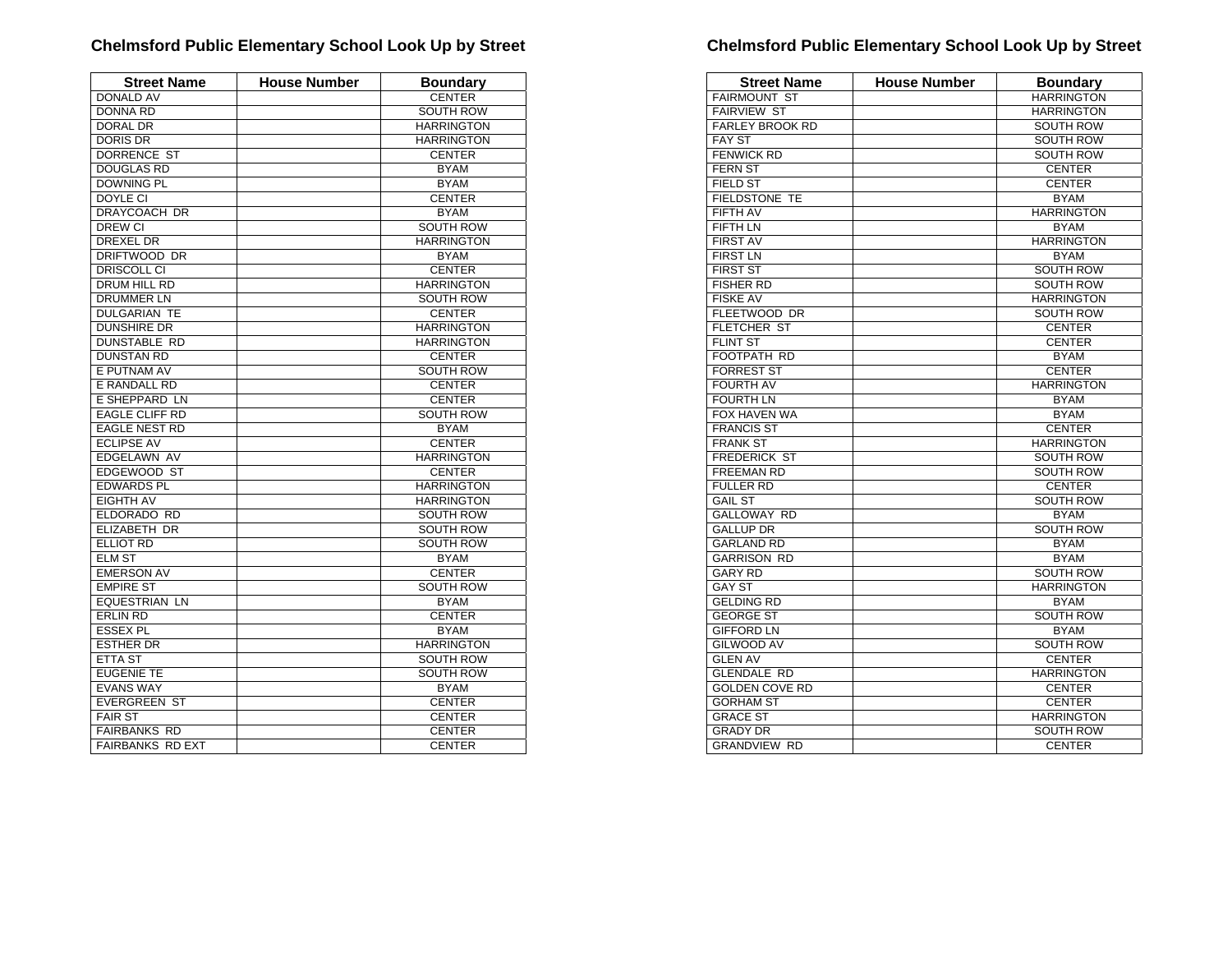| <b>Street Name</b>      | <b>House Number</b> | <b>Boundary</b>   |
|-------------------------|---------------------|-------------------|
| <b>DONALD AV</b>        |                     | <b>CENTER</b>     |
| <b>DONNA RD</b>         |                     | <b>SOUTH ROW</b>  |
| DORAL DR                |                     | <b>HARRINGTON</b> |
| <b>DORIS DR</b>         |                     | <b>HARRINGTON</b> |
| <b>DORRENCE ST</b>      |                     | <b>CENTER</b>     |
| <b>DOUGLAS RD</b>       |                     | <b>BYAM</b>       |
| <b>DOWNING PL</b>       |                     | <b>BYAM</b>       |
| DOYLE CI                |                     | <b>CENTER</b>     |
| <b>DRAYCOACH DR</b>     |                     | <b>BYAM</b>       |
| <b>DREW CI</b>          |                     | <b>SOUTH ROW</b>  |
| DREXEL DR               |                     | <b>HARRINGTON</b> |
| DRIFTWOOD DR            |                     | <b>BYAM</b>       |
| <b>DRISCOLL CI</b>      |                     | <b>CENTER</b>     |
| DRUM HILL RD            |                     | <b>HARRINGTON</b> |
| <b>DRUMMER LN</b>       |                     | <b>SOUTH ROW</b>  |
| <b>DULGARIAN TE</b>     |                     | <b>CENTER</b>     |
| <b>DUNSHIRE DR</b>      |                     | <b>HARRINGTON</b> |
| <b>DUNSTABLE RD</b>     |                     | <b>HARRINGTON</b> |
| <b>DUNSTAN RD</b>       |                     | <b>CENTER</b>     |
| E PUTNAM AV             |                     | <b>SOUTH ROW</b>  |
| E RANDALL RD            |                     | <b>CENTER</b>     |
| E SHEPPARD LN           |                     | <b>CENTER</b>     |
| <b>EAGLE CLIFF RD</b>   |                     | <b>SOUTH ROW</b>  |
| <b>EAGLE NEST RD</b>    |                     | <b>BYAM</b>       |
| <b>ECLIPSE AV</b>       |                     | <b>CENTER</b>     |
| <b>EDGELAWN AV</b>      |                     | <b>HARRINGTON</b> |
| EDGEWOOD ST             |                     | <b>CENTER</b>     |
| <b>EDWARDS PL</b>       |                     | <b>HARRINGTON</b> |
| <b>EIGHTH AV</b>        |                     | <b>HARRINGTON</b> |
| ELDORADO RD             |                     | <b>SOUTH ROW</b>  |
| <b>ELIZABETH DR</b>     |                     | <b>SOUTH ROW</b>  |
| ELLIOT RD               |                     | <b>SOUTH ROW</b>  |
| <b>ELM ST</b>           |                     | <b>BYAM</b>       |
| <b>EMERSON AV</b>       |                     | <b>CENTER</b>     |
| <b>EMPIRE ST</b>        |                     | <b>SOUTH ROW</b>  |
| EQUESTRIAN LN           |                     | <b>BYAM</b>       |
| <b>ERLIN RD</b>         |                     | <b>CENTER</b>     |
| <b>ESSEX PL</b>         |                     | <b>BYAM</b>       |
| <b>ESTHER DR</b>        |                     | <b>HARRINGTON</b> |
| <b>ETTA ST</b>          |                     | <b>SOUTH ROW</b>  |
| <b>EUGENIE TE</b>       |                     | <b>SOUTH ROW</b>  |
| <b>EVANS WAY</b>        |                     | <b>BYAM</b>       |
| <b>EVERGREEN ST</b>     |                     | <b>CENTER</b>     |
| <b>FAIR ST</b>          |                     | <b>CENTER</b>     |
| <b>FAIRBANKS RD</b>     |                     | <b>CENTER</b>     |
| <b>FAIRBANKS RD EXT</b> |                     | <b>CENTER</b>     |

| <b>Street Name</b>     | <b>House Number</b> | <b>Boundary</b>   |
|------------------------|---------------------|-------------------|
| <b>FAIRMOUNT ST</b>    |                     | <b>HARRINGTON</b> |
| <b>FAIRVIEW ST</b>     |                     | <b>HARRINGTON</b> |
| <b>FARLEY BROOK RD</b> |                     | <b>SOUTH ROW</b>  |
| <b>FAY ST</b>          |                     | <b>SOUTH ROW</b>  |
| <b>FENWICK RD</b>      |                     | <b>SOUTH ROW</b>  |
| <b>FERN ST</b>         |                     | <b>CENTER</b>     |
| <b>FIELD ST</b>        |                     | <b>CENTER</b>     |
| <b>FIELDSTONE TE</b>   |                     | <b>BYAM</b>       |
| <b>FIFTH AV</b>        |                     | <b>HARRINGTON</b> |
| <b>FIFTH LN</b>        |                     | <b>BYAM</b>       |
| <b>FIRST AV</b>        |                     | <b>HARRINGTON</b> |
| <b>FIRST LN</b>        |                     | <b>BYAM</b>       |
| <b>FIRST ST</b>        |                     | <b>SOUTH ROW</b>  |
| <b>FISHER RD</b>       |                     | SOUTH ROW         |
| <b>FISKE AV</b>        |                     | <b>HARRINGTON</b> |
| FLEETWOOD DR           |                     | <b>SOUTH ROW</b>  |
| <b>FLETCHER ST</b>     |                     | <b>CENTER</b>     |
| <b>FLINT ST</b>        |                     | <b>CENTER</b>     |
| <b>FOOTPATH RD</b>     |                     | <b>BYAM</b>       |
| <b>FORREST ST</b>      |                     | <b>CENTER</b>     |
| <b>FOURTH AV</b>       |                     | <b>HARRINGTON</b> |
| <b>FOURTH LN</b>       |                     | <b>BYAM</b>       |
| FOX HAVEN WA           |                     | <b>BYAM</b>       |
| <b>FRANCIS ST</b>      |                     | <b>CENTER</b>     |
| <b>FRANK ST</b>        |                     | <b>HARRINGTON</b> |
| <b>FREDERICK ST</b>    |                     | SOUTH ROW         |
| <b>FREEMAN RD</b>      |                     | <b>SOUTH ROW</b>  |
| <b>FULLER RD</b>       |                     | <b>CENTER</b>     |
| <b>GAIL ST</b>         |                     | <b>SOUTH ROW</b>  |
| <b>GALLOWAY RD</b>     |                     | <b>BYAM</b>       |
| <b>GALLUP DR</b>       |                     | <b>SOUTH ROW</b>  |
| <b>GARLAND RD</b>      |                     | <b>BYAM</b>       |
| <b>GARRISON RD</b>     |                     | <b>BYAM</b>       |
| <b>GARY RD</b>         |                     | <b>SOUTH ROW</b>  |
| <b>GAY ST</b>          |                     | <b>HARRINGTON</b> |
| <b>GELDING RD</b>      |                     | <b>BYAM</b>       |
| <b>GEORGE ST</b>       |                     | <b>SOUTH ROW</b>  |
| <b>GIFFORD LN</b>      |                     | <b>BYAM</b>       |
| <b>GILWOOD AV</b>      |                     | <b>SOUTH ROW</b>  |
| <b>GLEN AV</b>         |                     | <b>CENTER</b>     |
| <b>GLENDALE RD</b>     |                     | <b>HARRINGTON</b> |
| <b>GOLDEN COVE RD</b>  |                     | <b>CENTER</b>     |
| <b>GORHAM ST</b>       |                     | <b>CENTER</b>     |
| <b>GRACE ST</b>        |                     | <b>HARRINGTON</b> |
| <b>GRADY DR</b>        |                     | SOUTH ROW         |
| <b>GRANDVIEW RD</b>    |                     | <b>CENTER</b>     |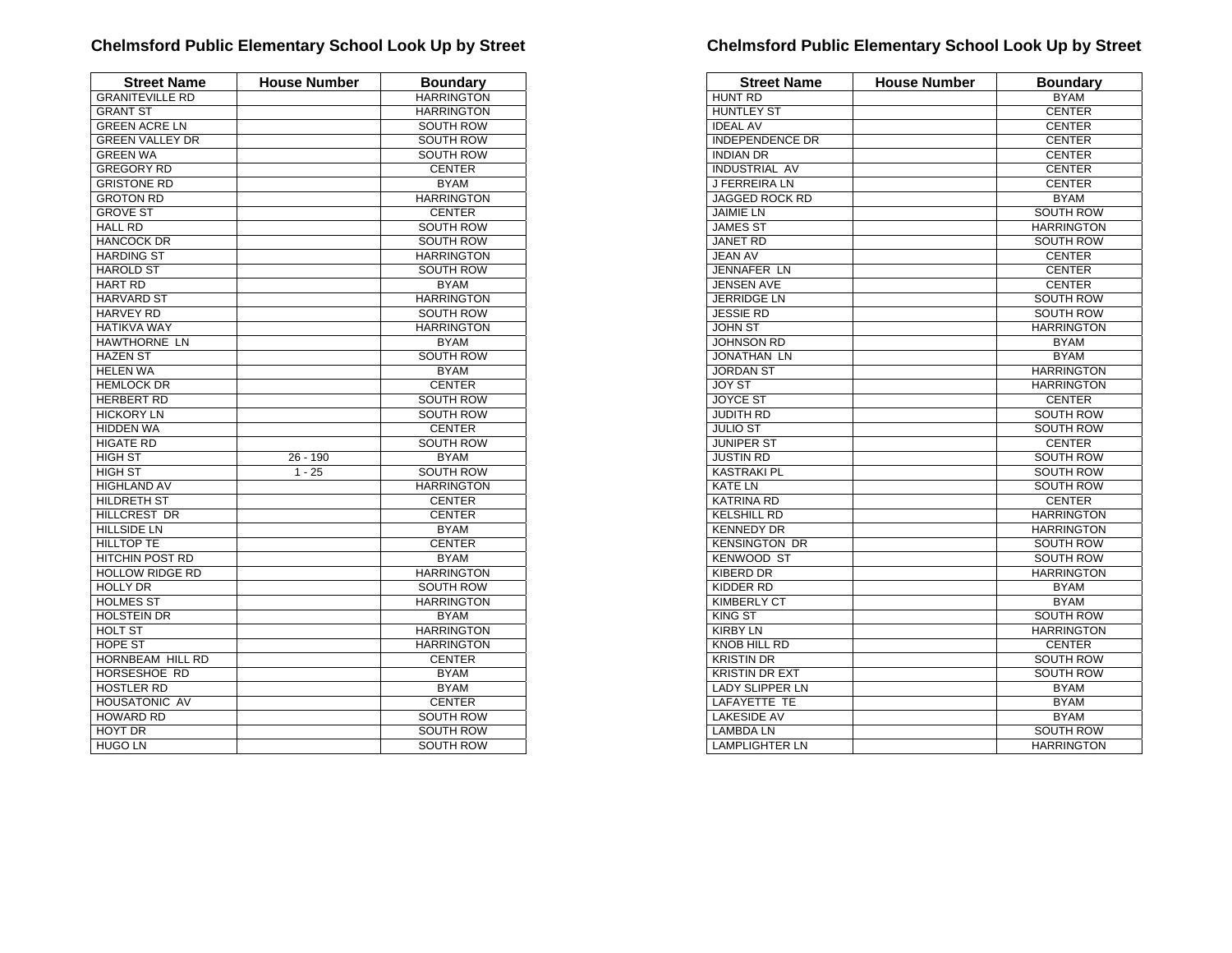| <b>Street Name</b>     | <b>House Number</b> | <b>Boundary</b>   |
|------------------------|---------------------|-------------------|
| <b>GRANITEVILLE RD</b> |                     | <b>HARRINGTON</b> |
| <b>GRANT ST</b>        |                     | <b>HARRINGTON</b> |
| <b>GREEN ACRE LN</b>   |                     | <b>SOUTH ROW</b>  |
| <b>GREEN VALLEY DR</b> |                     | <b>SOUTH ROW</b>  |
| <b>GREEN WA</b>        |                     | <b>SOUTH ROW</b>  |
| <b>GREGORY RD</b>      |                     | <b>CENTER</b>     |
| <b>GRISTONE RD</b>     |                     | <b>BYAM</b>       |
| <b>GROTON RD</b>       |                     | <b>HARRINGTON</b> |
| <b>GROVE ST</b>        |                     | <b>CENTER</b>     |
| <b>HALL RD</b>         |                     | SOUTH ROW         |
| <b>HANCOCK DR</b>      |                     | <b>SOUTH ROW</b>  |
| <b>HARDING ST</b>      |                     | <b>HARRINGTON</b> |
| <b>HAROLD ST</b>       |                     | SOUTH ROW         |
| <b>HART RD</b>         |                     | <b>BYAM</b>       |
| <b>HARVARD ST</b>      |                     | <b>HARRINGTON</b> |
| <b>HARVEY RD</b>       |                     | SOUTH ROW         |
| <b>HATIKVA WAY</b>     |                     | <b>HARRINGTON</b> |
| <b>HAWTHORNE LN</b>    |                     | <b>BYAM</b>       |
| <b>HAZEN ST</b>        |                     | <b>SOUTH ROW</b>  |
| <b>HELEN WA</b>        |                     | <b>BYAM</b>       |
| <b>HEMLOCK DR</b>      |                     | <b>CENTER</b>     |
| <b>HERBERT RD</b>      |                     | SOUTH ROW         |
| <b>HICKORY LN</b>      |                     | <b>SOUTH ROW</b>  |
| <b>HIDDEN WA</b>       |                     | <b>CENTER</b>     |
| <b>HIGATE RD</b>       |                     | <b>SOUTH ROW</b>  |
| <b>HIGH ST</b>         | 26 - 190            | <b>BYAM</b>       |
| <b>HIGH ST</b>         | $1 - 25$            | <b>SOUTH ROW</b>  |
| <b>HIGHLAND AV</b>     |                     | <b>HARRINGTON</b> |
| <b>HILDRETH ST</b>     |                     | <b>CENTER</b>     |
| <b>HILLCREST DR</b>    |                     | <b>CENTER</b>     |
| <b>HILLSIDE LN</b>     |                     | <b>BYAM</b>       |
| <b>HILLTOP TE</b>      |                     | <b>CENTER</b>     |
| <b>HITCHIN POST RD</b> |                     | <b>BYAM</b>       |
| <b>HOLLOW RIDGE RD</b> |                     | <b>HARRINGTON</b> |
| <b>HOLLY DR</b>        |                     | SOUTH ROW         |
| <b>HOLMES ST</b>       |                     | <b>HARRINGTON</b> |
| <b>HOLSTEIN DR</b>     |                     | <b>BYAM</b>       |
| <b>HOLT ST</b>         |                     | <b>HARRINGTON</b> |
| HOPE ST                |                     | <b>HARRINGTON</b> |
| HORNBEAM HILL RD       |                     | <b>CENTER</b>     |
| HORSESHOE RD           |                     | <b>BYAM</b>       |
| <b>HOSTLER RD</b>      |                     | <b>BYAM</b>       |
| <b>HOUSATONIC AV</b>   |                     | <b>CENTER</b>     |
| <b>HOWARD RD</b>       |                     | <b>SOUTH ROW</b>  |
| <b>HOYT DR</b>         |                     | <b>SOUTH ROW</b>  |
| <b>HUGO LN</b>         |                     | <b>SOUTH ROW</b>  |

| <b>Street Name</b>     | <b>House Number</b> | <b>Boundary</b>   |
|------------------------|---------------------|-------------------|
| <b>HUNT RD</b>         |                     | <b>BYAM</b>       |
| <b>HUNTLEY ST</b>      |                     | <b>CENTER</b>     |
| <b>IDEAL AV</b>        |                     | <b>CENTER</b>     |
| <b>INDEPENDENCE DR</b> |                     | <b>CENTER</b>     |
| <b>INDIAN DR</b>       |                     | <b>CENTER</b>     |
| <b>INDUSTRIAL AV</b>   |                     | <b>CENTER</b>     |
| <b>J FERREIRA LN</b>   |                     | <b>CENTER</b>     |
| <b>JAGGED ROCK RD</b>  |                     | <b>BYAM</b>       |
| <b>JAIMIE LN</b>       |                     | <b>SOUTH ROW</b>  |
| <b>JAMES ST</b>        |                     | <b>HARRINGTON</b> |
| <b>JANET RD</b>        |                     | <b>SOUTH ROW</b>  |
| <b>JEAN AV</b>         |                     | <b>CENTER</b>     |
| JENNAFER LN            |                     | <b>CENTER</b>     |
| <b>JENSEN AVE</b>      |                     | <b>CENTER</b>     |
| <b>JERRIDGE LN</b>     |                     | <b>SOUTH ROW</b>  |
| <b>JESSIE RD</b>       |                     | <b>SOUTH ROW</b>  |
| <b>JOHN ST</b>         |                     | <b>HARRINGTON</b> |
| <b>JOHNSON RD</b>      |                     | <b>BYAM</b>       |
| <b>JONATHAN LN</b>     |                     | <b>BYAM</b>       |
| <b>JORDAN ST</b>       |                     | <b>HARRINGTON</b> |
| <b>JOY ST</b>          |                     | <b>HARRINGTON</b> |
| <b>JOYCE ST</b>        |                     | <b>CENTER</b>     |
| <b>JUDITH RD</b>       |                     | <b>SOUTH ROW</b>  |
| <b>JULIO ST</b>        |                     | <b>SOUTH ROW</b>  |
| <b>JUNIPER ST</b>      |                     | <b>CENTER</b>     |
| <b>JUSTIN RD</b>       |                     | <b>SOUTH ROW</b>  |
| <b>KASTRAKI PL</b>     |                     | <b>SOUTH ROW</b>  |
| <b>KATE LN</b>         |                     | <b>SOUTH ROW</b>  |
| <b>KATRINA RD</b>      |                     | <b>CENTER</b>     |
| <b>KELSHILL RD</b>     |                     | <b>HARRINGTON</b> |
| <b>KENNEDY DR</b>      |                     | <b>HARRINGTON</b> |
| <b>KENSINGTON DR</b>   |                     | SOUTH ROW         |
| <b>KENWOOD ST</b>      |                     | <b>SOUTH ROW</b>  |
| <b>KIBERD DR</b>       |                     | <b>HARRINGTON</b> |
| <b>KIDDER RD</b>       |                     | <b>BYAM</b>       |
| <b>KIMBERLY CT</b>     |                     | <b>BYAM</b>       |
| <b>KING ST</b>         |                     | <b>SOUTH ROW</b>  |
| <b>KIRBY LN</b>        |                     | <b>HARRINGTON</b> |
| <b>KNOB HILL RD</b>    |                     | <b>CENTER</b>     |
| <b>KRISTIN DR</b>      |                     | <b>SOUTH ROW</b>  |
| <b>KRISTIN DR EXT</b>  |                     | <b>SOUTH ROW</b>  |
| <b>LADY SLIPPER LN</b> |                     | <b>BYAM</b>       |
| LAFAYETTE TE           |                     | <b>BYAM</b>       |
| <b>LAKESIDE AV</b>     |                     | <b>BYAM</b>       |
| <b>LAMBDA LN</b>       |                     | <b>SOUTH ROW</b>  |
| <b>LAMPLIGHTER LN</b>  |                     | <b>HARRINGTON</b> |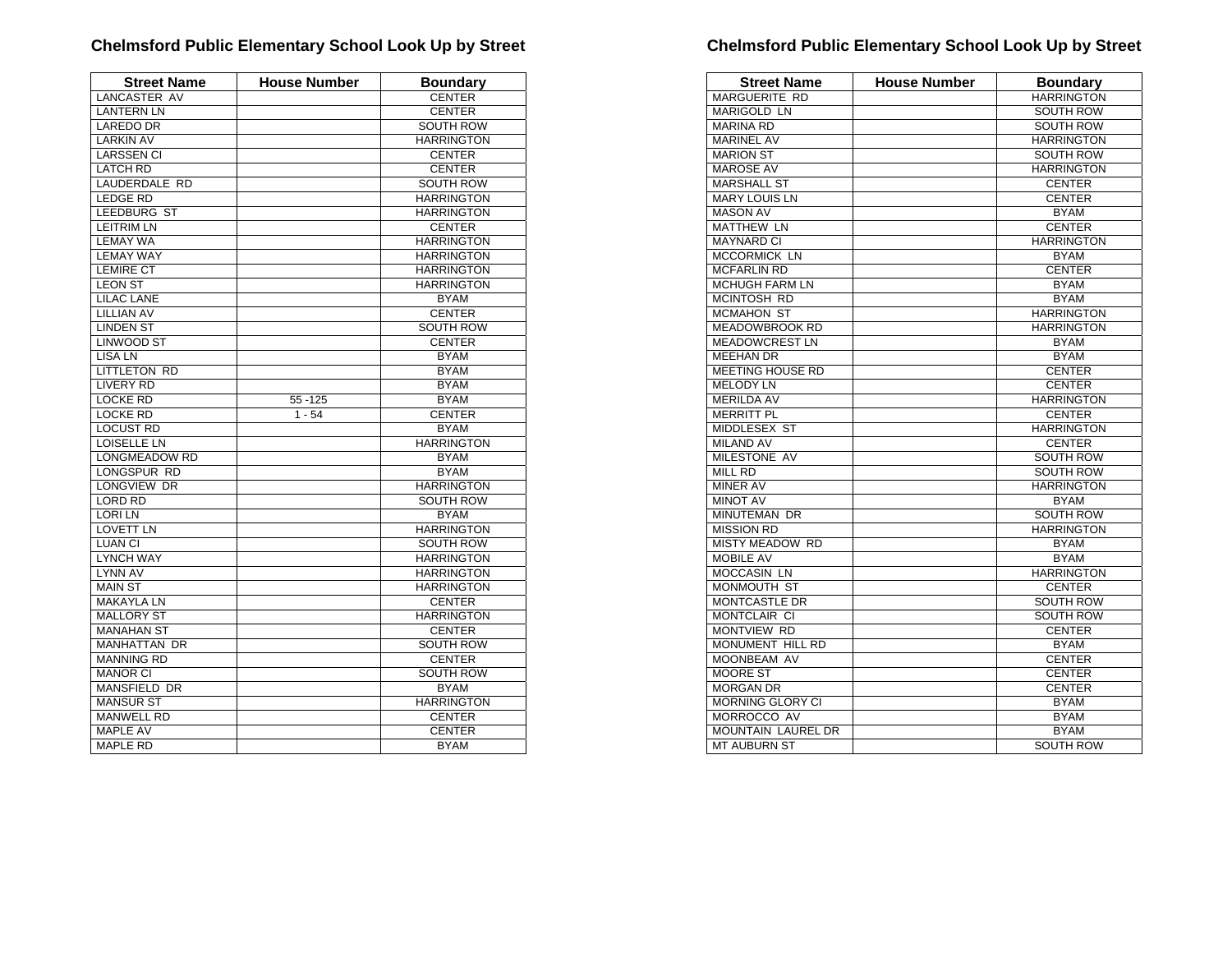| <b>Street Name</b>  | <b>House Number</b> | <b>Boundary</b>   |
|---------------------|---------------------|-------------------|
| <b>LANCASTER AV</b> |                     | <b>CENTER</b>     |
| <b>LANTERN LN</b>   |                     | <b>CENTER</b>     |
| <b>LAREDO DR</b>    |                     | <b>SOUTH ROW</b>  |
| <b>LARKIN AV</b>    |                     | <b>HARRINGTON</b> |
| <b>LARSSEN CI</b>   |                     | <b>CENTER</b>     |
| <b>LATCH RD</b>     |                     | <b>CENTER</b>     |
| LAUDERDALE RD       |                     | <b>SOUTH ROW</b>  |
| <b>LEDGE RD</b>     |                     | <b>HARRINGTON</b> |
| <b>LEEDBURG ST</b>  |                     | <b>HARRINGTON</b> |
| <b>LEITRIM LN</b>   |                     | <b>CENTER</b>     |
| <b>LEMAY WA</b>     |                     | <b>HARRINGTON</b> |
| <b>LEMAY WAY</b>    |                     | <b>HARRINGTON</b> |
| <b>LEMIRE CT</b>    |                     | <b>HARRINGTON</b> |
| <b>LEON ST</b>      |                     | <b>HARRINGTON</b> |
| <b>LILAC LANE</b>   |                     | <b>BYAM</b>       |
| <b>LILLIAN AV</b>   |                     | <b>CENTER</b>     |
| <b>LINDEN ST</b>    |                     | <b>SOUTH ROW</b>  |
| <b>LINWOOD ST</b>   |                     | <b>CENTER</b>     |
| <b>LISA LN</b>      |                     | <b>BYAM</b>       |
| LITTLETON RD        |                     | <b>BYAM</b>       |
| <b>LIVERY RD</b>    |                     | <b>BYAM</b>       |
| <b>LOCKE RD</b>     | 55 - 125            | <b>BYAM</b>       |
| LOCKE RD            | $1 - 54$            | <b>CENTER</b>     |
| <b>LOCUST RD</b>    |                     | <b>BYAM</b>       |
| <b>LOISELLE LN</b>  |                     | <b>HARRINGTON</b> |
| LONGMEADOW RD       |                     | <b>BYAM</b>       |
| LONGSPUR RD         |                     | <b>BYAM</b>       |
| LONGVIEW DR         |                     | <b>HARRINGTON</b> |
| <b>LORD RD</b>      |                     | <b>SOUTH ROW</b>  |
| <b>LORILN</b>       |                     | <b>BYAM</b>       |
| <b>LOVETT LN</b>    |                     | <b>HARRINGTON</b> |
| <b>LUAN CI</b>      |                     | <b>SOUTH ROW</b>  |
| <b>LYNCH WAY</b>    |                     | <b>HARRINGTON</b> |
| <b>LYNN AV</b>      |                     | <b>HARRINGTON</b> |
| <b>MAIN ST</b>      |                     | <b>HARRINGTON</b> |
| <b>MAKAYLA LN</b>   |                     | <b>CENTER</b>     |
| <b>MALLORY ST</b>   |                     | <b>HARRINGTON</b> |
| <b>MANAHAN ST</b>   |                     | <b>CENTER</b>     |
| <b>MANHATTAN DR</b> |                     | <b>SOUTH ROW</b>  |
| <b>MANNING RD</b>   |                     | <b>CENTER</b>     |
| <b>MANOR CI</b>     |                     | <b>SOUTH ROW</b>  |
| MANSFIELD DR        |                     | <b>BYAM</b>       |
| <b>MANSUR ST</b>    |                     | <b>HARRINGTON</b> |
| <b>MANWELL RD</b>   |                     | <b>CENTER</b>     |
| <b>MAPLE AV</b>     |                     | <b>CENTER</b>     |
| <b>MAPLE RD</b>     |                     | <b>BYAM</b>       |

| <b>Street Name</b>        | <b>House Number</b> | <b>Boundary</b>   |
|---------------------------|---------------------|-------------------|
| <b>MARGUERITE RD</b>      |                     | <b>HARRINGTON</b> |
| <b>MARIGOLD LN</b>        |                     | <b>SOUTH ROW</b>  |
| <b>MARINA RD</b>          |                     | <b>SOUTH ROW</b>  |
| <b>MARINEL AV</b>         |                     | <b>HARRINGTON</b> |
| <b>MARION ST</b>          |                     | <b>SOUTH ROW</b>  |
| <b>MAROSE AV</b>          |                     | <b>HARRINGTON</b> |
| <b>MARSHALL ST</b>        |                     | <b>CENTER</b>     |
| <b>MARY LOUIS LN</b>      |                     | <b>CENTER</b>     |
| <b>MASON AV</b>           |                     | <b>BYAM</b>       |
| <b>MATTHEW LN</b>         |                     | <b>CENTER</b>     |
| <b>MAYNARD CI</b>         |                     | <b>HARRINGTON</b> |
| <b>MCCORMICK LN</b>       |                     | <b>BYAM</b>       |
| <b>MCFARLIN RD</b>        |                     | <b>CENTER</b>     |
| <b>MCHUGH FARM LN</b>     |                     | <b>BYAM</b>       |
| <b>MCINTOSH RD</b>        |                     | <b>BYAM</b>       |
| <b>MCMAHON ST</b>         |                     | <b>HARRINGTON</b> |
| <b>MEADOWBROOK RD</b>     |                     | <b>HARRINGTON</b> |
| <b>MEADOWCREST LN</b>     |                     | <b>BYAM</b>       |
| <b>MEEHAN DR</b>          |                     | <b>BYAM</b>       |
| <b>MEETING HOUSE RD</b>   |                     | <b>CENTER</b>     |
| <b>MELODY LN</b>          |                     | <b>CENTER</b>     |
| <b>MERILDA AV</b>         |                     | <b>HARRINGTON</b> |
| <b>MERRITT PL</b>         |                     | <b>CENTER</b>     |
| MIDDLESEX ST              |                     | <b>HARRINGTON</b> |
| <b>MILAND AV</b>          |                     | <b>CENTER</b>     |
| MILESTONE AV              |                     | <b>SOUTH ROW</b>  |
| <b>MILL RD</b>            |                     | <b>SOUTH ROW</b>  |
| <b>MINER AV</b>           |                     | <b>HARRINGTON</b> |
| <b>MINOT AV</b>           |                     | <b>BYAM</b>       |
| <b>MINUTEMAN DR</b>       |                     | SOUTH ROW         |
| <b>MISSION RD</b>         |                     | <b>HARRINGTON</b> |
| <b>MISTY MEADOW RD</b>    |                     | <b>BYAM</b>       |
| <b>MOBILE AV</b>          |                     | <b>BYAM</b>       |
| MOCCASIN LN               |                     | <b>HARRINGTON</b> |
| MONMOUTH ST               |                     | <b>CENTER</b>     |
| <b>MONTCASTLE DR</b>      |                     | <b>SOUTH ROW</b>  |
| <b>MONTCLAIR CI</b>       |                     | <b>SOUTH ROW</b>  |
| MONTVIEW RD               |                     | <b>CENTER</b>     |
| MONUMENT HILL RD          |                     | <b>BYAM</b>       |
| MOONBEAM AV               |                     | <b>CENTER</b>     |
| <b>MOORE ST</b>           |                     | <b>CENTER</b>     |
| <b>MORGAN DR</b>          |                     | <b>CENTER</b>     |
| MORNING GLORY CI          |                     | <b>BYAM</b>       |
| MORROCCO AV               |                     | <b>BYAM</b>       |
| <b>MOUNTAIN LAUREL DR</b> |                     | <b>BYAM</b>       |
| <b>MT AUBURN ST</b>       |                     | <b>SOUTH ROW</b>  |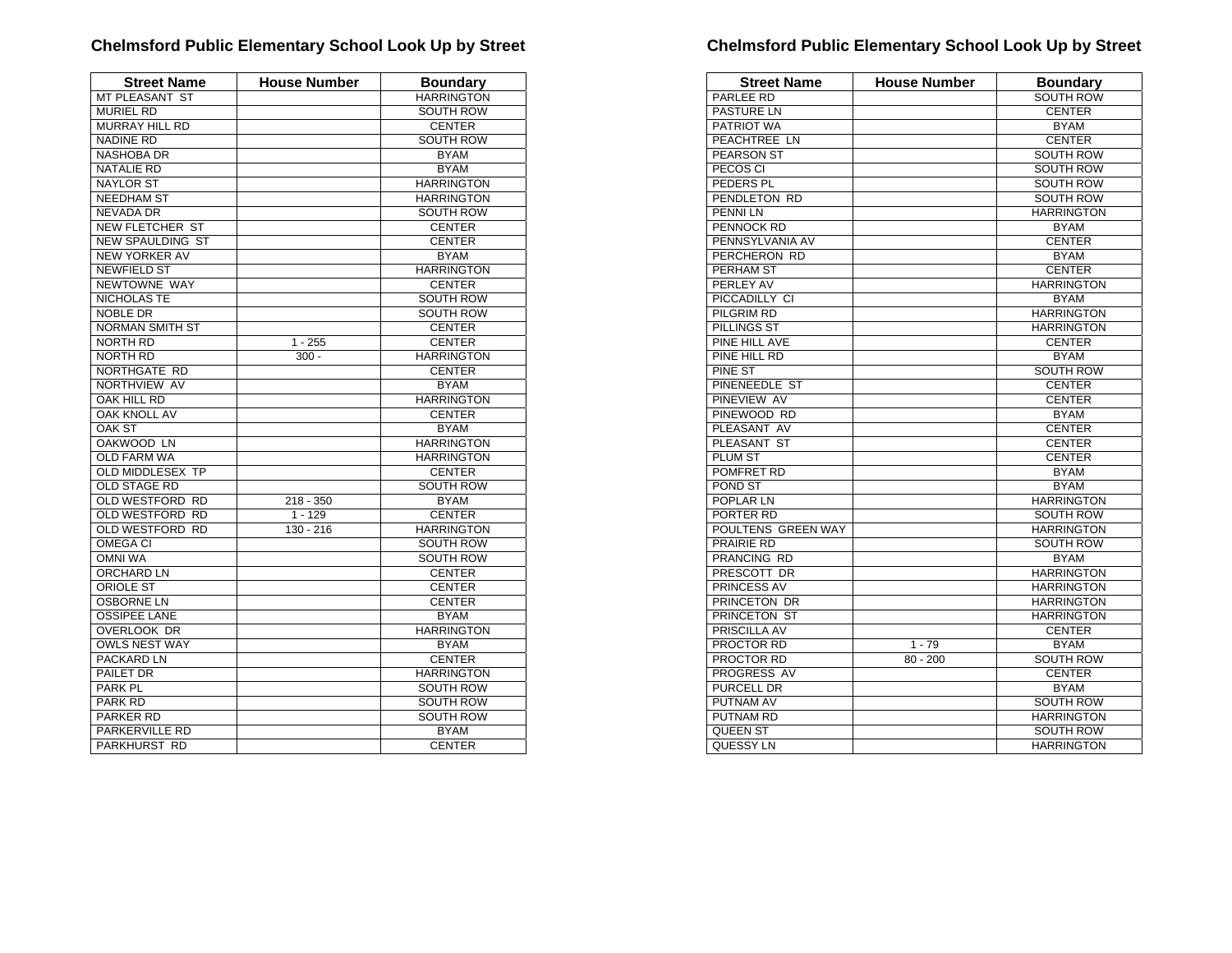| <b>Street Name</b>      | <b>House Number</b> | <b>Boundary</b>   |
|-------------------------|---------------------|-------------------|
| MT PLEASANT ST          |                     | <b>HARRINGTON</b> |
| <b>MURIEL RD</b>        |                     | <b>SOUTH ROW</b>  |
| MURRAY HILL RD          |                     | <b>CENTER</b>     |
| <b>NADINE RD</b>        |                     | <b>SOUTH ROW</b>  |
| <b>NASHOBA DR</b>       |                     | <b>BYAM</b>       |
| <b>NATALIE RD</b>       |                     | <b>BYAM</b>       |
| <b>NAYLOR ST</b>        |                     | <b>HARRINGTON</b> |
| <b>NEEDHAM ST</b>       |                     | <b>HARRINGTON</b> |
| <b>NEVADA DR</b>        |                     | SOUTH ROW         |
| <b>NEW FLETCHER ST</b>  |                     | <b>CENTER</b>     |
| <b>NEW SPAULDING ST</b> |                     | <b>CENTER</b>     |
| <b>NEW YORKER AV</b>    |                     | <b>BYAM</b>       |
| <b>NEWFIELD ST</b>      |                     | <b>HARRINGTON</b> |
| NEWTOWNE WAY            |                     | <b>CENTER</b>     |
| NICHOLAS TE             |                     | <b>SOUTH ROW</b>  |
| <b>NOBLE DR</b>         |                     | <b>SOUTH ROW</b>  |
| <b>NORMAN SMITH ST</b>  |                     | <b>CENTER</b>     |
| <b>NORTH RD</b>         | $1 - 255$           | <b>CENTER</b>     |
| <b>NORTH RD</b>         | $300 -$             | <b>HARRINGTON</b> |
| NORTHGATE RD            |                     | <b>CENTER</b>     |
| NORTHVIEW AV            |                     | <b>BYAM</b>       |
| OAK HILL RD             |                     | <b>HARRINGTON</b> |
| <b>OAK KNOLL AV</b>     |                     | <b>CENTER</b>     |
| <b>OAK ST</b>           |                     | <b>BYAM</b>       |
| <b>OAKWOOD LN</b>       |                     | <b>HARRINGTON</b> |
| <b>OLD FARM WA</b>      |                     | <b>HARRINGTON</b> |
| OLD MIDDLESEX TP        |                     | <b>CENTER</b>     |
| <b>OLD STAGE RD</b>     |                     | <b>SOUTH ROW</b>  |
| <b>OLD WESTFORD RD</b>  | $218 - 350$         | <b>BYAM</b>       |
| OLD WESTFORD RD         | $1 - 129$           | <b>CENTER</b>     |
| OLD WESTFORD RD         | $130 - 216$         | <b>HARRINGTON</b> |
| <b>OMEGA CI</b>         |                     | <b>SOUTH ROW</b>  |
| <b>OMNI WA</b>          |                     | <b>SOUTH ROW</b>  |
| <b>ORCHARD LN</b>       |                     | <b>CENTER</b>     |
| <b>ORIOLE ST</b>        |                     | <b>CENTER</b>     |
| <b>OSBORNE LN</b>       |                     | <b>CENTER</b>     |
| <b>OSSIPEE LANE</b>     |                     | <b>BYAM</b>       |
| <b>OVERLOOK DR</b>      |                     | <b>HARRINGTON</b> |
| <b>OWLS NEST WAY</b>    |                     | <b>BYAM</b>       |
| <b>PACKARD LN</b>       |                     | <b>CENTER</b>     |
| PAILET DR               |                     | <b>HARRINGTON</b> |
| PARK PL                 |                     | <b>SOUTH ROW</b>  |
| PARK RD                 |                     | <b>SOUTH ROW</b>  |
| <b>PARKER RD</b>        |                     | <b>SOUTH ROW</b>  |
| PARKERVILLE RD          |                     | <b>BYAM</b>       |
| PARKHURST RD            |                     | <b>CENTER</b>     |

| <b>Street Name</b> | <b>House Number</b> | <b>Boundary</b>   |
|--------------------|---------------------|-------------------|
| PARLEE RD          |                     | SOUTH ROW         |
| PASTURE LN         |                     | <b>CENTER</b>     |
| PATRIOT WA         |                     | <b>BYAM</b>       |
| PEACHTREE LN       |                     | <b>CENTER</b>     |
| <b>PEARSON ST</b>  |                     | <b>SOUTH ROW</b>  |
| PECOS CI           |                     | <b>SOUTH ROW</b>  |
| PEDERS PL          |                     | SOUTH ROW         |
| PENDLETON RD       |                     | <b>SOUTH ROW</b>  |
| PENNI LN           |                     | <b>HARRINGTON</b> |
| PENNOCK RD         |                     | <b>BYAM</b>       |
| PENNSYLVANIA AV    |                     | <b>CENTER</b>     |
| PERCHERON RD       |                     | <b>BYAM</b>       |
| PERHAM ST          |                     | <b>CENTER</b>     |
| PERLEY AV          |                     | <b>HARRINGTON</b> |
| PICCADILLY CI      |                     | <b>BYAM</b>       |
| <b>PILGRIM RD</b>  |                     | <b>HARRINGTON</b> |
| PILLINGS ST        |                     | <b>HARRINGTON</b> |
| PINE HILL AVE      |                     | <b>CENTER</b>     |
| PINE HILL RD       |                     | <b>BYAM</b>       |
| PINE ST            |                     | <b>SOUTH ROW</b>  |
| PINENEEDLE ST      |                     | <b>CENTER</b>     |
| <b>PINEVIEW AV</b> |                     | <b>CENTER</b>     |
| PINEWOOD RD        |                     | <b>BYAM</b>       |
| PLEASANT AV        |                     | <b>CENTER</b>     |
| PLEASANT ST        |                     | <b>CENTER</b>     |
| <b>PLUM ST</b>     |                     | <b>CENTER</b>     |
| POMFRET RD         |                     | <b>BYAM</b>       |
| POND ST            |                     | <b>BYAM</b>       |
| POPLAR LN          |                     | <b>HARRINGTON</b> |
| PORTER RD          |                     | <b>SOUTH ROW</b>  |
| POULTENS GREEN WAY |                     | <b>HARRINGTON</b> |
| PRAIRIE RD         |                     | <b>SOUTH ROW</b>  |
| PRANCING RD        |                     | <b>BYAM</b>       |
| PRESCOTT DR        |                     | <b>HARRINGTON</b> |
| PRINCESS AV        |                     | <b>HARRINGTON</b> |
| PRINCETON DR       |                     | <b>HARRINGTON</b> |
| PRINCETON ST       |                     | <b>HARRINGTON</b> |
| PRISCILLA AV       |                     | <b>CENTER</b>     |
| PROCTOR RD         | $1 - 79$            | <b>BYAM</b>       |
| PROCTOR RD         | $80 - 200$          | <b>SOUTH ROW</b>  |
| PROGRESS AV        |                     | <b>CENTER</b>     |
| <b>PURCELL DR</b>  |                     | <b>BYAM</b>       |
| PUTNAM AV          |                     | <b>SOUTH ROW</b>  |
| <b>PUTNAM RD</b>   |                     | <b>HARRINGTON</b> |
| <b>QUEEN ST</b>    |                     | <b>SOUTH ROW</b>  |
| QUESSY LN          |                     | <b>HARRINGTON</b> |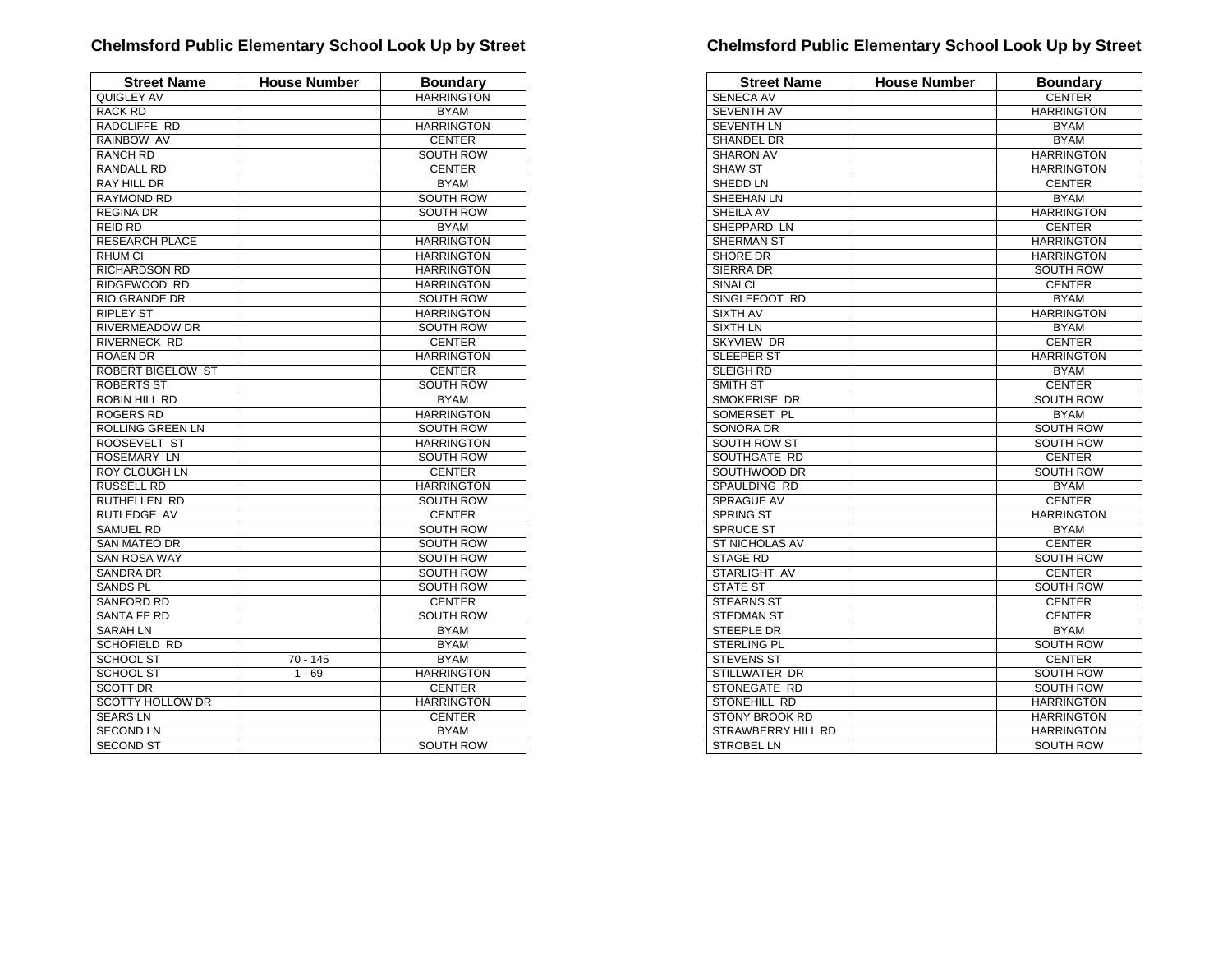| <b>Street Name</b>       | <b>House Number</b> | <b>Boundary</b>   |
|--------------------------|---------------------|-------------------|
| QUIGLEY AV               |                     | <b>HARRINGTON</b> |
| <b>RACK RD</b>           |                     | <b>BYAM</b>       |
| RADCLIFFE RD             |                     | <b>HARRINGTON</b> |
| RAINBOW AV               |                     | <b>CENTER</b>     |
| <b>RANCH RD</b>          |                     | SOUTH ROW         |
| <b>RANDALL RD</b>        |                     | <b>CENTER</b>     |
| <b>RAY HILL DR</b>       |                     | <b>BYAM</b>       |
| <b>RAYMOND RD</b>        |                     | <b>SOUTH ROW</b>  |
| <b>REGINA DR</b>         |                     | <b>SOUTH ROW</b>  |
| REID RD                  |                     | <b>BYAM</b>       |
| <b>RESEARCH PLACE</b>    |                     | <b>HARRINGTON</b> |
| <b>RHUM CI</b>           |                     | <b>HARRINGTON</b> |
| <b>RICHARDSON RD</b>     |                     | <b>HARRINGTON</b> |
| RIDGEWOOD RD             |                     | <b>HARRINGTON</b> |
| <b>RIO GRANDE DR</b>     |                     | <b>SOUTH ROW</b>  |
| <b>RIPLEY ST</b>         |                     | <b>HARRINGTON</b> |
| RIVERMEADOW DR           |                     | SOUTH ROW         |
| <b>RIVERNECK RD</b>      |                     | <b>CENTER</b>     |
| <b>ROAEN DR</b>          |                     | <b>HARRINGTON</b> |
| <b>ROBERT BIGELOW ST</b> |                     | <b>CENTER</b>     |
| ROBERTS ST               |                     | <b>SOUTH ROW</b>  |
| ROBIN HILL RD            |                     | <b>BYAM</b>       |
| <b>ROGERS RD</b>         |                     | <b>HARRINGTON</b> |
| <b>ROLLING GREEN LN</b>  |                     | <b>SOUTH ROW</b>  |
| ROOSEVELT ST             |                     | <b>HARRINGTON</b> |
| <b>ROSEMARY LN</b>       |                     | <b>SOUTH ROW</b>  |
| <b>ROY CLOUGH LN</b>     |                     | <b>CENTER</b>     |
| RUSSELL RD               |                     | <b>HARRINGTON</b> |
| RUTHELLEN RD             |                     | <b>SOUTH ROW</b>  |
| RUTLEDGE AV              |                     | <b>CENTER</b>     |
| SAMUEL RD                |                     | <b>SOUTH ROW</b>  |
| <b>SAN MATEO DR</b>      |                     | <b>SOUTH ROW</b>  |
| <b>SAN ROSA WAY</b>      |                     | <b>SOUTH ROW</b>  |
| <b>SANDRA DR</b>         |                     | <b>SOUTH ROW</b>  |
| <b>SANDS PL</b>          |                     | <b>SOUTH ROW</b>  |
| <b>SANFORD RD</b>        |                     | <b>CENTER</b>     |
| <b>SANTA FE RD</b>       |                     | <b>SOUTH ROW</b>  |
| <b>SARAH LN</b>          |                     | <b>BYAM</b>       |
| <b>SCHOFIELD RD</b>      |                     | <b>BYAM</b>       |
| <b>SCHOOL ST</b>         | $70 - 145$          | <b>BYAM</b>       |
| <b>SCHOOL ST</b>         | $1 - 69$            | <b>HARRINGTON</b> |
| <b>SCOTT DR</b>          |                     | <b>CENTER</b>     |
| <b>SCOTTY HOLLOW DR</b>  |                     | <b>HARRINGTON</b> |
| <b>SEARSLN</b>           |                     | <b>CENTER</b>     |
| <b>SECOND LN</b>         |                     | <b>BYAM</b>       |
| <b>SECOND ST</b>         |                     | <b>SOUTH ROW</b>  |

| <b>Street Name</b>        | <b>House Number</b> | <b>Boundary</b>   |
|---------------------------|---------------------|-------------------|
| <b>SENECA AV</b>          |                     | <b>CENTER</b>     |
| <b>SEVENTH AV</b>         |                     | <b>HARRINGTON</b> |
| <b>SEVENTH LN</b>         |                     | <b>BYAM</b>       |
| <b>SHANDEL DR</b>         |                     | <b>BYAM</b>       |
| <b>SHARON AV</b>          |                     | <b>HARRINGTON</b> |
| <b>SHAW ST</b>            |                     | <b>HARRINGTON</b> |
| SHEDD LN                  |                     | <b>CENTER</b>     |
| SHEEHAN LN                |                     | <b>BYAM</b>       |
| <b>SHEILA AV</b>          |                     | <b>HARRINGTON</b> |
| SHEPPARD LN               |                     | <b>CENTER</b>     |
| SHERMAN ST                |                     | <b>HARRINGTON</b> |
| <b>SHORE DR</b>           |                     | <b>HARRINGTON</b> |
| <b>SIERRA DR</b>          |                     | <b>SOUTH ROW</b>  |
| SINAI CI                  |                     | <b>CENTER</b>     |
| SINGLEFOOT RD             |                     | <b>BYAM</b>       |
| SIXTH AV                  |                     | <b>HARRINGTON</b> |
| <b>SIXTH LN</b>           |                     | <b>BYAM</b>       |
| <b>SKYVIEW DR</b>         |                     | <b>CENTER</b>     |
| <b>SLEEPER ST</b>         |                     | <b>HARRINGTON</b> |
| SLEIGH RD                 |                     | <b>BYAM</b>       |
| SMITH ST                  |                     | <b>CENTER</b>     |
| SMOKERISE DR              |                     | <b>SOUTH ROW</b>  |
| SOMERSET PL               |                     | <b>BYAM</b>       |
| <b>SONORA DR</b>          |                     | <b>SOUTH ROW</b>  |
| <b>SOUTH ROW ST</b>       |                     | <b>SOUTH ROW</b>  |
| SOUTHGATE RD              |                     | <b>CENTER</b>     |
| SOUTHWOOD DR              |                     | <b>SOUTH ROW</b>  |
| SPAULDING RD              |                     | <b>BYAM</b>       |
| <b>SPRAGUE AV</b>         |                     | <b>CENTER</b>     |
| <b>SPRING ST</b>          |                     | <b>HARRINGTON</b> |
| <b>SPRUCE ST</b>          |                     | <b>BYAM</b>       |
| <b>ST NICHOLAS AV</b>     |                     | <b>CENTER</b>     |
| <b>STAGE RD</b>           |                     | <b>SOUTH ROW</b>  |
| STARLIGHT AV              |                     | <b>CENTER</b>     |
| <b>STATE ST</b>           |                     | <b>SOUTH ROW</b>  |
| <b>STEARNS ST</b>         |                     | <b>CENTER</b>     |
| <b>STEDMAN ST</b>         |                     | <b>CENTER</b>     |
| <b>STEEPLE DR</b>         |                     | <b>BYAM</b>       |
| STERLING PL               |                     | <b>SOUTH ROW</b>  |
| <b>STEVENS ST</b>         |                     | <b>CENTER</b>     |
| STILLWATER DR             |                     | <b>SOUTH ROW</b>  |
| STONEGATE RD              |                     | <b>SOUTH ROW</b>  |
| STONEHILL RD              |                     | <b>HARRINGTON</b> |
| <b>STONY BROOK RD</b>     |                     | <b>HARRINGTON</b> |
| <b>STRAWBERRY HILL RD</b> |                     | <b>HARRINGTON</b> |
| <b>STROBEL LN</b>         |                     | <b>SOUTH ROW</b>  |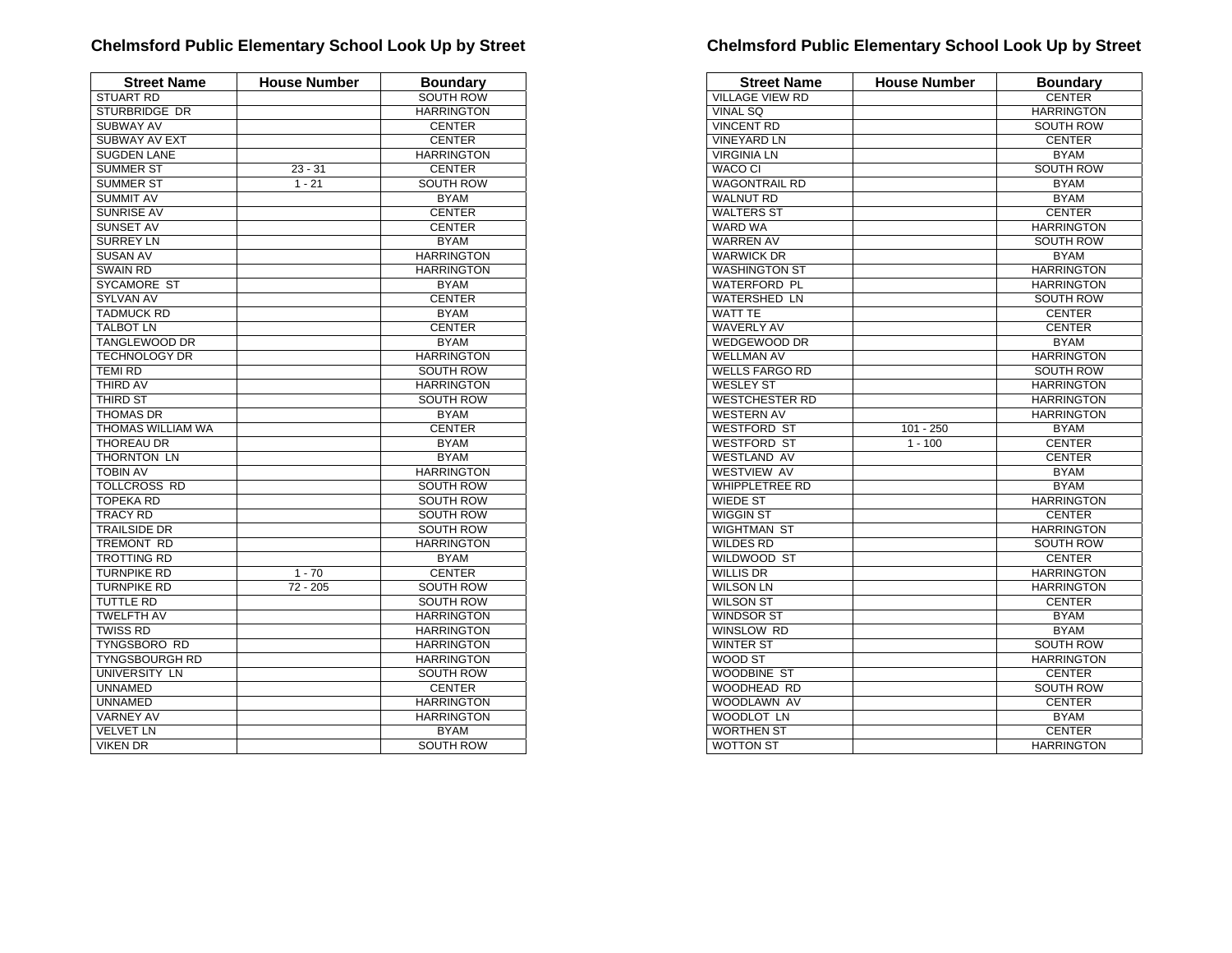| <b>Street Name</b>       | <b>House Number</b> | <b>Boundary</b>   |
|--------------------------|---------------------|-------------------|
| <b>STUART RD</b>         |                     | SOUTH ROW         |
| STURBRIDGE DR            |                     | <b>HARRINGTON</b> |
| <b>SUBWAY AV</b>         |                     | <b>CENTER</b>     |
| SUBWAY AV EXT            |                     | <b>CENTER</b>     |
| <b>SUGDEN LANE</b>       |                     | <b>HARRINGTON</b> |
| <b>SUMMER ST</b>         | $23 - 31$           | <b>CENTER</b>     |
| <b>SUMMER ST</b>         | $1 - 21$            | <b>SOUTH ROW</b>  |
| <b>SUMMIT AV</b>         |                     | <b>BYAM</b>       |
| <b>SUNRISE AV</b>        |                     | <b>CENTER</b>     |
| <b>SUNSET AV</b>         |                     | <b>CENTER</b>     |
| <b>SURREY LN</b>         |                     | <b>BYAM</b>       |
| <b>SUSAN AV</b>          |                     | <b>HARRINGTON</b> |
| <b>SWAIN RD</b>          |                     | <b>HARRINGTON</b> |
| SYCAMORE ST              |                     | <b>BYAM</b>       |
| <b>SYLVAN AV</b>         |                     | <b>CENTER</b>     |
| <b>TADMUCK RD</b>        |                     | <b>BYAM</b>       |
| <b>TALBOT LN</b>         |                     | <b>CENTER</b>     |
| <b>TANGLEWOOD DR</b>     |                     | <b>BYAM</b>       |
| <b>TECHNOLOGY DR</b>     |                     | <b>HARRINGTON</b> |
| <b>TEMI RD</b>           |                     | SOUTH ROW         |
| <b>THIRD AV</b>          |                     | <b>HARRINGTON</b> |
| THIRD ST                 |                     | SOUTH ROW         |
| <b>THOMAS DR</b>         |                     | <b>BYAM</b>       |
| <b>THOMAS WILLIAM WA</b> |                     | <b>CENTER</b>     |
| <b>THOREAU DR</b>        |                     | <b>BYAM</b>       |
| THORNTON LN              |                     | <b>BYAM</b>       |
| <b>TOBIN AV</b>          |                     | <b>HARRINGTON</b> |
| <b>TOLLCROSS RD</b>      |                     | SOUTH ROW         |
| <b>TOPEKA RD</b>         |                     | <b>SOUTH ROW</b>  |
| <b>TRACY RD</b>          |                     | <b>SOUTH ROW</b>  |
| <b>TRAILSIDE DR</b>      |                     | <b>SOUTH ROW</b>  |
| TREMONT RD               |                     | <b>HARRINGTON</b> |
| <b>TROTTING RD</b>       |                     | <b>BYAM</b>       |
| <b>TURNPIKE RD</b>       | $1 - 70$            | <b>CENTER</b>     |
| <b>TURNPIKE RD</b>       | $72 - 205$          | <b>SOUTH ROW</b>  |
| <b>TUTTLE RD</b>         |                     | <b>SOUTH ROW</b>  |
| <b>TWELFTH AV</b>        |                     | <b>HARRINGTON</b> |
| <b>TWISS RD</b>          |                     | <b>HARRINGTON</b> |
| <b>TYNGSBORO RD</b>      |                     | <b>HARRINGTON</b> |
| <b>TYNGSBOURGH RD</b>    |                     | <b>HARRINGTON</b> |
| UNIVERSITY LN            |                     | SOUTH ROW         |
| <b>UNNAMED</b>           |                     | <b>CENTER</b>     |
| <b>UNNAMED</b>           |                     | <b>HARRINGTON</b> |
| <b>VARNEY AV</b>         |                     | <b>HARRINGTON</b> |
| <b>VELVET LN</b>         |                     | <b>BYAM</b>       |
| <b>VIKEN DR</b>          |                     | <b>SOUTH ROW</b>  |

| <b>Street Name</b>     | <b>House Number</b> | <b>Boundary</b>   |
|------------------------|---------------------|-------------------|
| <b>VILLAGE VIEW RD</b> |                     | <b>CENTER</b>     |
| VINAL SQ               |                     | <b>HARRINGTON</b> |
| <b>VINCENT RD</b>      |                     | SOUTH ROW         |
| <b>VINEYARD LN</b>     |                     | <b>CENTER</b>     |
| <b>VIRGINIA LN</b>     |                     | <b>BYAM</b>       |
| WACO CI                |                     | <b>SOUTH ROW</b>  |
| <b>WAGONTRAIL RD</b>   |                     | <b>BYAM</b>       |
| <b>WALNUT RD</b>       |                     | <b>BYAM</b>       |
| <b>WALTERS ST</b>      |                     | <b>CENTER</b>     |
| <b>WARD WA</b>         |                     | <b>HARRINGTON</b> |
| <b>WARREN AV</b>       |                     | SOUTH ROW         |
| <b>WARWICK DR</b>      |                     | <b>BYAM</b>       |
| <b>WASHINGTON ST</b>   |                     | <b>HARRINGTON</b> |
| <b>WATERFORD PL</b>    |                     | <b>HARRINGTON</b> |
| <b>WATERSHED LN</b>    |                     | SOUTH ROW         |
| <b>WATT TE</b>         |                     | <b>CENTER</b>     |
| <b>WAVERLY AV</b>      |                     | <b>CENTER</b>     |
| <b>WEDGEWOOD DR</b>    |                     | <b>BYAM</b>       |
| <b>WELLMAN AV</b>      |                     | <b>HARRINGTON</b> |
| <b>WELLS FARGO RD</b>  |                     | <b>SOUTH ROW</b>  |
| <b>WESLEY ST</b>       |                     | <b>HARRINGTON</b> |
| <b>WESTCHESTER RD</b>  |                     | <b>HARRINGTON</b> |
| <b>WESTERN AV</b>      |                     | <b>HARRINGTON</b> |
| <b>WESTFORD ST</b>     | $101 - 250$         | <b>BYAM</b>       |
| <b>WESTFORD ST</b>     | $1 - 100$           | <b>CENTER</b>     |
| <b>WESTLAND AV</b>     |                     | <b>CENTER</b>     |
| <b>WESTVIEW AV</b>     |                     | <b>BYAM</b>       |
| <b>WHIPPLETREE RD</b>  |                     | <b>BYAM</b>       |
| WIEDE ST               |                     | <b>HARRINGTON</b> |
| <b>WIGGIN ST</b>       |                     | <b>CENTER</b>     |
| <b>WIGHTMAN ST</b>     |                     | <b>HARRINGTON</b> |
| <b>WILDES RD</b>       |                     | SOUTH ROW         |
| WILDWOOD ST            |                     | <b>CENTER</b>     |
| <b>WILLIS DR</b>       |                     | <b>HARRINGTON</b> |
| <b>WILSON LN</b>       |                     | <b>HARRINGTON</b> |
| <b>WILSON ST</b>       |                     | <b>CENTER</b>     |
| <b>WINDSOR ST</b>      |                     | <b>BYAM</b>       |
| WINSLOW RD             |                     | <b>BYAM</b>       |
| <b>WINTER ST</b>       |                     | SOUTH ROW         |
| WOOD ST                |                     | <b>HARRINGTON</b> |
| <b>WOODBINE ST</b>     |                     | <b>CENTER</b>     |
| WOODHEAD RD            |                     | <b>SOUTH ROW</b>  |
| WOODLAWN AV            |                     | <b>CENTER</b>     |
| WOODLOT LN             |                     | <b>BYAM</b>       |
| <b>WORTHEN ST</b>      |                     | <b>CENTER</b>     |
| <b>WOTTON ST</b>       |                     | <b>HARRINGTON</b> |